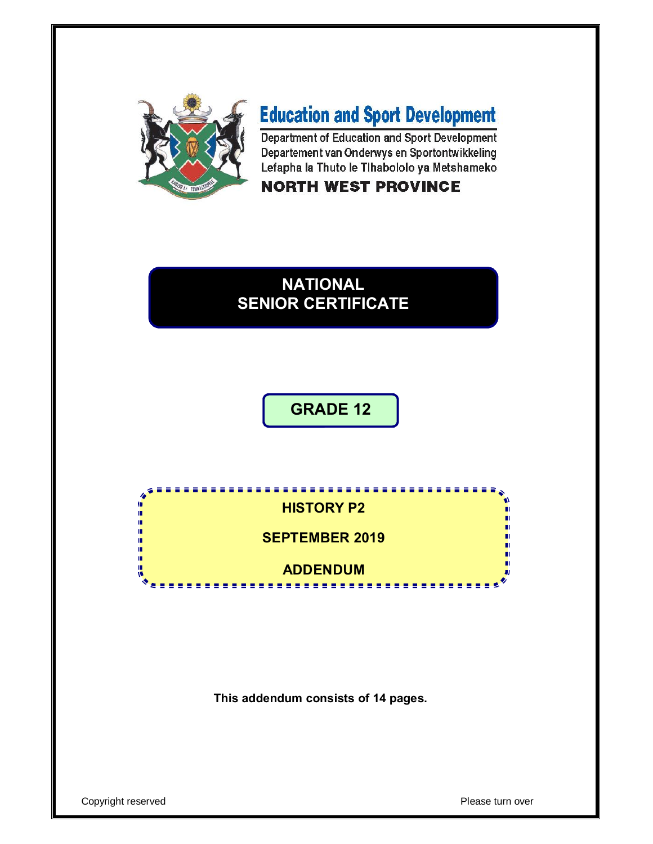

# **Education and Sport Development**

Department of Education and Sport Development Departement van Onderwys en Sportontwikkeling Lefapha la Thuto le Tlhabololo ya Metshameko

# **NORTH WEST PROVINCE**

# **NATIONAL SENIOR CERTIFICATE**

# **GRADE 12**



**This addendum consists of 14 pages.**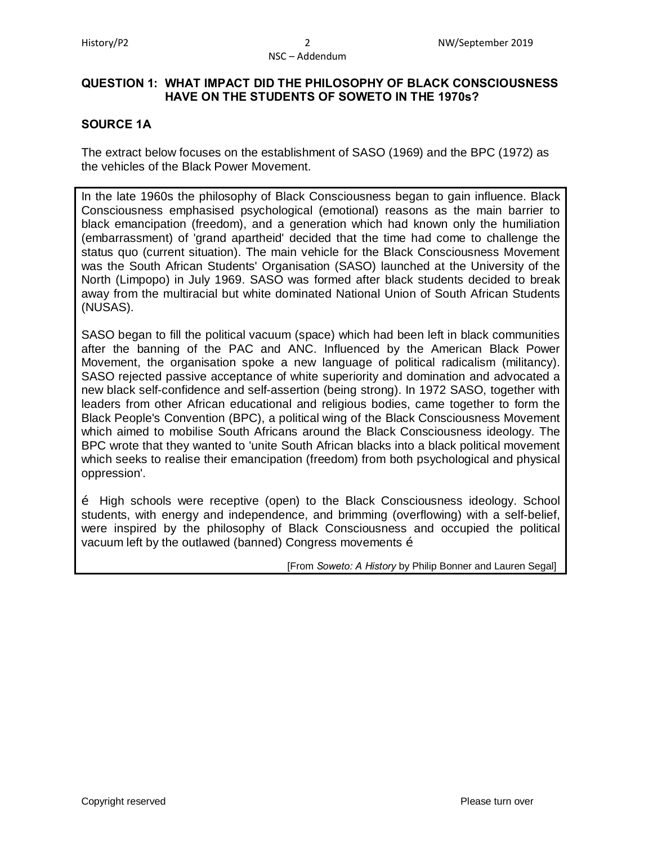#### **QUESTION 1: WHAT IMPACT DID THE PHILOSOPHY OF BLACK CONSCIOUSNESS HAVE ON THE STUDENTS OF SOWETO IN THE 1970s?**

#### **SOURCE 1A**

The extract below focuses on the establishment of SASO (1969) and the BPC (1972) as the vehicles of the Black Power Movement.

In the late 1960s the philosophy of Black Consciousness began to gain influence. Black Consciousness emphasised psychological (emotional) reasons as the main barrier to black emancipation (freedom), and a generation which had known only the humiliation (embarrassment) of 'grand apartheid' decided that the time had come to challenge the status quo (current situation). The main vehicle for the Black Consciousness Movement was the South African Students' Organisation (SASO) launched at the University of the North (Limpopo) in July 1969. SASO was formed after black students decided to break away from the multiracial but white dominated National Union of South African Students (NUSAS).

SASO began to fill the political vacuum (space) which had been left in black communities after the banning of the PAC and ANC. Influenced by the American Black Power Movement, the organisation spoke a new language of political radicalism (militancy). SASO rejected passive acceptance of white superiority and domination and advocated a new black self-confidence and self-assertion (being strong). In 1972 SASO, together with leaders from other African educational and religious bodies, came together to form the Black People's Convention (BPC), a political wing of the Black Consciousness Movement which aimed to mobilise South Africans around the Black Consciousness ideology. The BPC wrote that they wanted to 'unite South African blacks into a black political movement which seeks to realise their emancipation (freedom) from both psychological and physical oppression'.

 $\ddot{\text{o}}$  High schools were receptive (open) to the Black Consciousness ideology. School students, with energy and independence, and brimming (overflowing) with a self-belief, were inspired by the philosophy of Black Consciousness and occupied the political vacuum left by the outlawed (banned) Congress movements  $\ddot{\text{o}}$ 

[From *Soweto: A History* by Philip Bonner and Lauren Segal]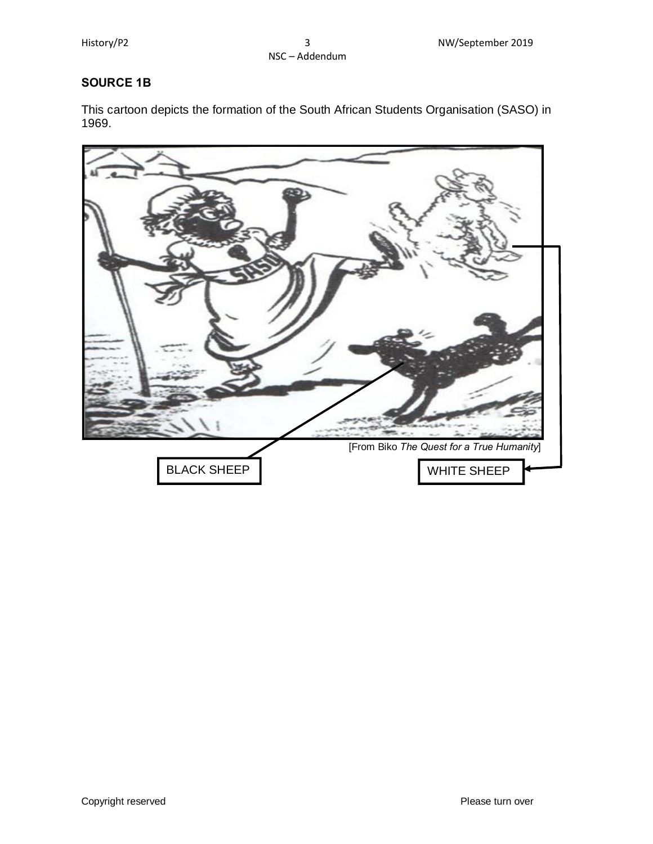# **SOURCE 1B**

This cartoon depicts the formation of the South African Students Organisation (SASO) in 1969.

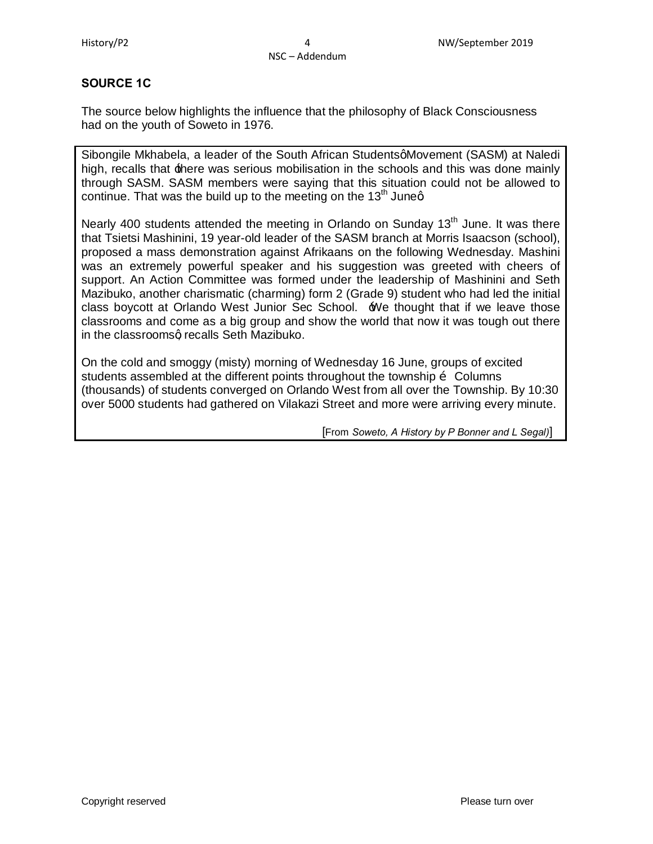# **SOURCE 1C**

The source below highlights the influence that the philosophy of Black Consciousness had on the youth of Soweto in 1976.

Sibongile Mkhabela, a leader of the South African StudentsgMovement (SASM) at Naledi high, recalls that  $\pm$ here was serious mobilisation in the schools and this was done mainly through SASM. SASM members were saying that this situation could not be allowed to continue. That was the build up to the meeting on the  $13<sup>th</sup>$  Juneq.

Nearly 400 students attended the meeting in Orlando on Sunday  $13<sup>th</sup>$  June. It was there that Tsietsi Mashinini, 19 year-old leader of the SASM branch at Morris Isaacson (school), proposed a mass demonstration against Afrikaans on the following Wednesday. Mashini was an extremely powerful speaker and his suggestion was greeted with cheers of support. An Action Committee was formed under the leadership of Mashinini and Seth Mazibuko, another charismatic (charming) form 2 (Grade 9) student who had led the initial class boycott at Orlando West Junior Sec School. 'We thought that if we leave those classrooms and come as a big group and show the world that now it was tough out there in the classroomsq recalls Seth Mazibuko.

On the cold and smoggy (misty) morning of Wednesday 16 June, groups of excited students assembled at the different points throughout the township  $\ddot{\text{o}}$  Columns (thousands) of students converged on Orlando West from all over the Township. By 10:30 over 5000 students had gathered on Vilakazi Street and more were arriving every minute.

[From *Soweto, A History by P Bonner and L Segal)*]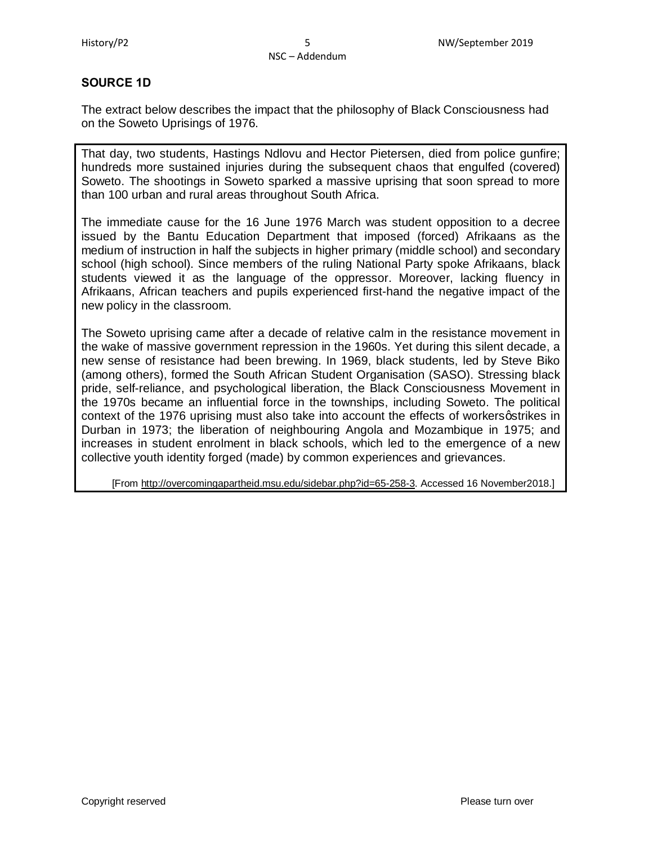#### **SOURCE 1D**

The extract below describes the impact that the philosophy of Black Consciousness had on the Soweto Uprisings of 1976.

That day, two students, Hastings Ndlovu and Hector Pietersen, died from police gunfire; hundreds more sustained injuries during the subsequent chaos that engulfed (covered) Soweto. The shootings in Soweto sparked a massive uprising that soon spread to more than 100 urban and rural areas throughout South Africa.

The immediate cause for the 16 June 1976 March was student opposition to a decree issued by the Bantu Education Department that imposed (forced) Afrikaans as the medium of instruction in half the subjects in higher primary (middle school) and secondary school (high school). Since members of the ruling National Party spoke Afrikaans, black students viewed it as the language of the oppressor. Moreover, lacking fluency in Afrikaans, African teachers and pupils experienced first-hand the negative impact of the new policy in the classroom.

The Soweto uprising came after a decade of relative calm in the resistance movement in the wake of massive government repression in the 1960s. Yet during this silent decade, a new sense of resistance had been brewing. In 1969, black students, led by Steve Biko (among others), formed the South African Student Organisation (SASO). Stressing black pride, self-reliance, and psychological liberation, the Black Consciousness Movement in the 1970s became an influential force in the townships, including Soweto. The political context of the 1976 uprising must also take into account the effects of workers gstrikes in Durban in 1973; the liberation of neighbouring Angola and Mozambique in 1975; and increases in student enrolment in black schools, which led to the emergence of a new collective youth identity forged (made) by common experiences and grievances.

[From http://overcomingapartheid.msu.edu/sidebar.php?id=65-258-3. Accessed 16 November2018.]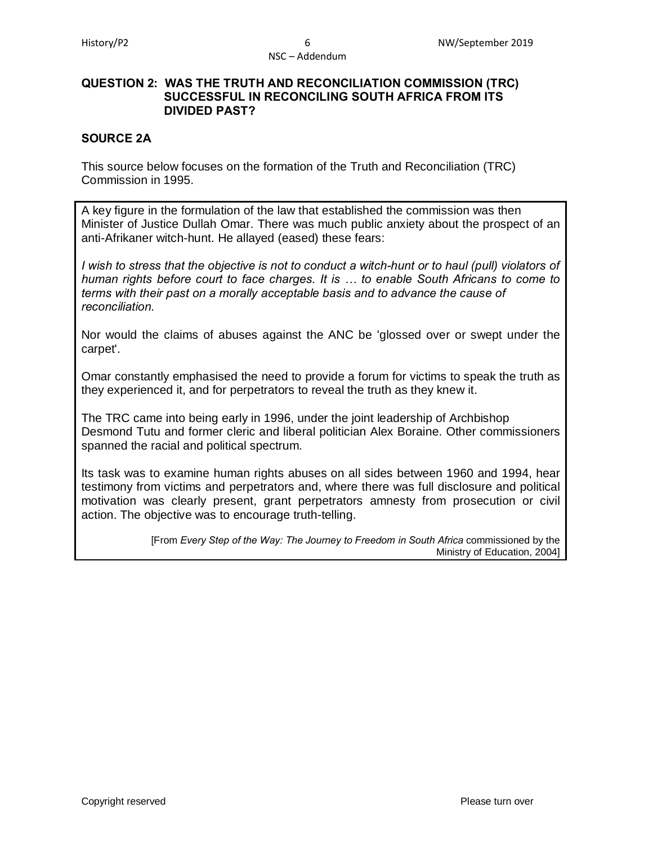#### **QUESTION 2: WAS THE TRUTH AND RECONCILIATION COMMISSION (TRC) SUCCESSFUL IN RECONCILING SOUTH AFRICA FROM ITS DIVIDED PAST?**

#### **SOURCE 2A**

This source below focuses on the formation of the Truth and Reconciliation (TRC) Commission in 1995.

A key figure in the formulation of the law that established the commission was then Minister of Justice Dullah Omar. There was much public anxiety about the prospect of an anti-Afrikaner witch-hunt. He allayed (eased) these fears:

*I wish to stress that the objective is not to conduct a witch-hunt or to haul (pull) violators of human rights before court to face charges. It is … to enable South Africans to come to terms with their past on a morally acceptable basis and to advance the cause of reconciliation.*

Nor would the claims of abuses against the ANC be 'glossed over or swept under the carpet'.

Omar constantly emphasised the need to provide a forum for victims to speak the truth as they experienced it, and for perpetrators to reveal the truth as they knew it.

The TRC came into being early in 1996, under the joint leadership of Archbishop Desmond Tutu and former cleric and liberal politician Alex Boraine. Other commissioners spanned the racial and political spectrum.

Its task was to examine human rights abuses on all sides between 1960 and 1994, hear testimony from victims and perpetrators and, where there was full disclosure and political motivation was clearly present, grant perpetrators amnesty from prosecution or civil action. The objective was to encourage truth-telling.

> [From *Every Step of the Way: The Journey to Freedom in South Africa* commissioned by the Ministry of Education, 2004]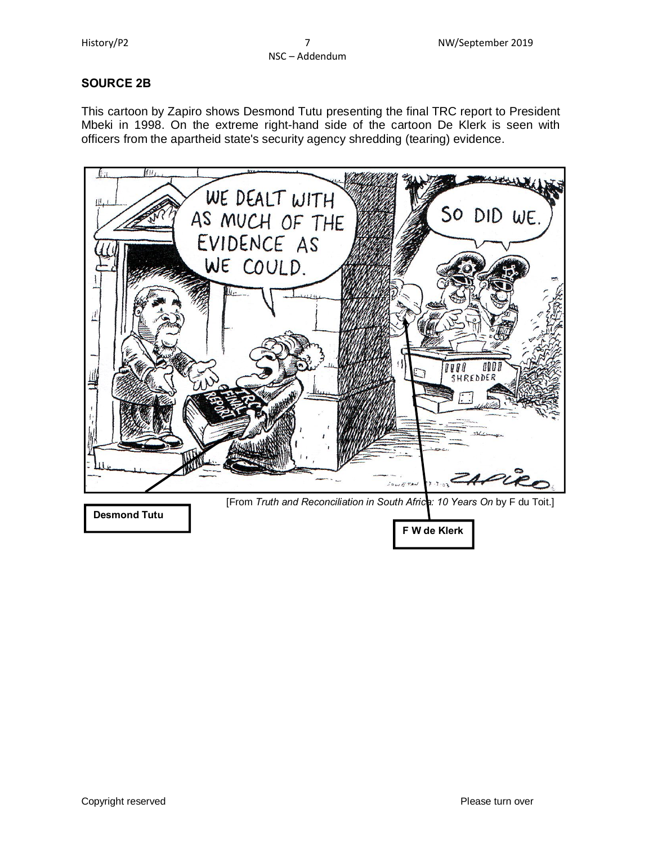NSC – Addendum

# **SOURCE 2B**

This cartoon by Zapiro shows Desmond Tutu presenting the final TRC report to President Mbeki in 1998. On the extreme right-hand side of the cartoon De Klerk is seen with officers from the apartheid state's security agency shredding (tearing) evidence.



Copyright reserved **Please turn over**  $\blacksquare$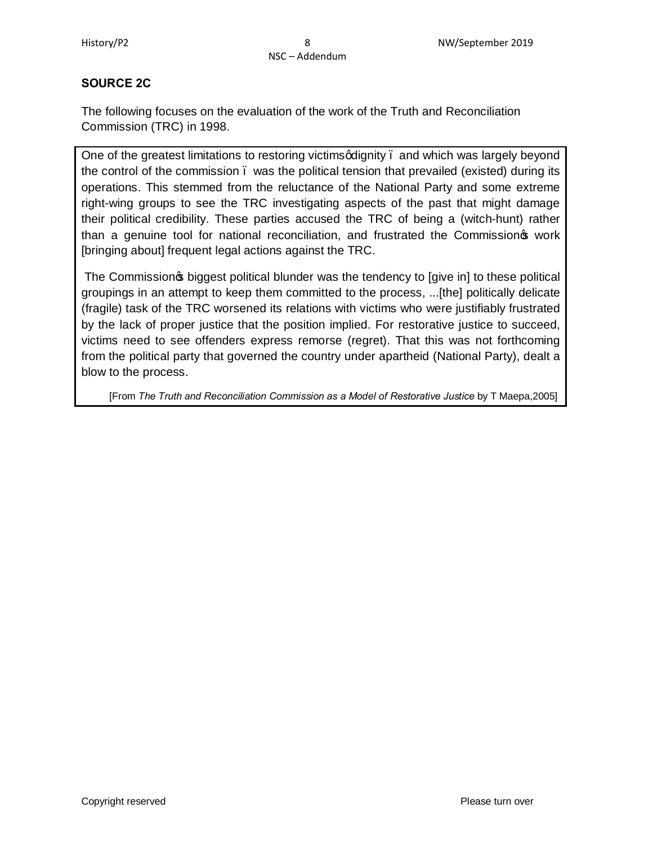# **SOURCE 2C**

The following focuses on the evaluation of the work of the Truth and Reconciliation Commission (TRC) in 1998.

One of the greatest limitations to restoring victims qdignity . and which was largely beyond the control of the commission – was the political tension that prevailed (existed) during its operations. This stemmed from the reluctance of the National Party and some extreme right-wing groups to see the TRC investigating aspects of the past that might damage their political credibility. These parties accused the TRC of being a (witch-hunt) rather than a genuine tool for national reconciliation, and frustrated the Commission  $\infty$  work [bringing about] frequent legal actions against the TRC.

The Commission ts biggest political blunder was the tendency to [give in] to these political groupings in an attempt to keep them committed to the process, ...[the] politically delicate (fragile) task of the TRC worsened its relations with victims who were justifiably frustrated by the lack of proper justice that the position implied. For restorative justice to succeed, victims need to see offenders express remorse (regret). That this was not forthcoming from the political party that governed the country under apartheid (National Party), dealt a blow to the process.

[From *The Truth and Reconciliation Commission as a Model of Restorative Justice* by T Maepa,2005]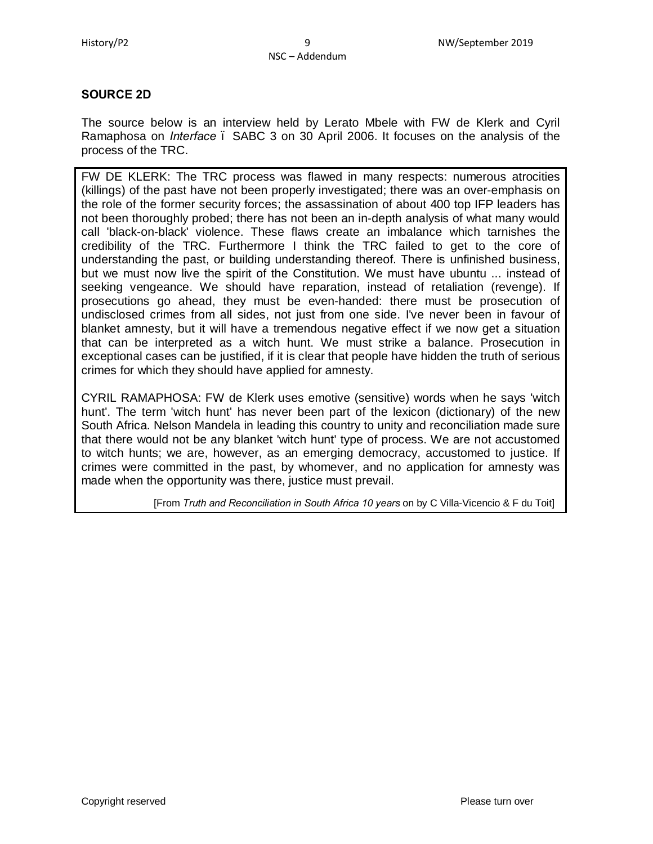### **SOURCE 2D**

The source below is an interview held by Lerato Mbele with FW de Klerk and Cyril Ramaphosa on *Interface* – SABC 3 on 30 April 2006. It focuses on the analysis of the process of the TRC.

FW DE KLERK: The TRC process was flawed in many respects: numerous atrocities (killings) of the past have not been properly investigated; there was an over-emphasis on the role of the former security forces; the assassination of about 400 top IFP leaders has not been thoroughly probed; there has not been an in-depth analysis of what many would call 'black-on-black' violence. These flaws create an imbalance which tarnishes the credibility of the TRC. Furthermore I think the TRC failed to get to the core of understanding the past, or building understanding thereof. There is unfinished business, but we must now live the spirit of the Constitution. We must have ubuntu ... instead of seeking vengeance. We should have reparation, instead of retaliation (revenge). If prosecutions go ahead, they must be even-handed: there must be prosecution of undisclosed crimes from all sides, not just from one side. I've never been in favour of blanket amnesty, but it will have a tremendous negative effect if we now get a situation that can be interpreted as a witch hunt. We must strike a balance. Prosecution in exceptional cases can be justified, if it is clear that people have hidden the truth of serious crimes for which they should have applied for amnesty.

CYRIL RAMAPHOSA: FW de Klerk uses emotive (sensitive) words when he says 'witch hunt'. The term 'witch hunt' has never been part of the lexicon (dictionary) of the new South Africa. Nelson Mandela in leading this country to unity and reconciliation made sure that there would not be any blanket 'witch hunt' type of process. We are not accustomed to witch hunts; we are, however, as an emerging democracy, accustomed to justice. If crimes were committed in the past, by whomever, and no application for amnesty was made when the opportunity was there, justice must prevail.

[From *Truth and Reconciliation in South Africa 10 years* on by C Villa-Vicencio & F du Toit]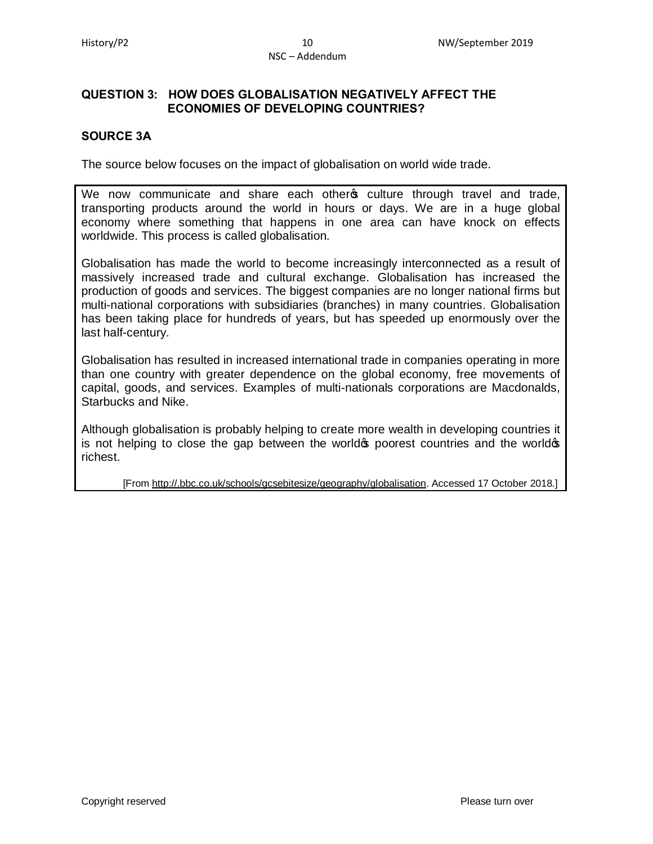#### **QUESTION 3: HOW DOES GLOBALISATION NEGATIVELY AFFECT THE ECONOMIES OF DEVELOPING COUNTRIES?**

#### **SOURCE 3A**

The source below focuses on the impact of globalisation on world wide trade.

We now communicate and share each others culture through travel and trade, transporting products around the world in hours or days. We are in a huge global economy where something that happens in one area can have knock on effects worldwide. This process is called globalisation.

Globalisation has made the world to become increasingly interconnected as a result of massively increased trade and cultural exchange. Globalisation has increased the production of goods and services. The biggest companies are no longer national firms but multi-national corporations with subsidiaries (branches) in many countries. Globalisation has been taking place for hundreds of years, but has speeded up enormously over the last half-century.

Globalisation has resulted in increased international trade in companies operating in more than one country with greater dependence on the global economy, free movements of capital, goods, and services. Examples of multi-nationals corporations are Macdonalds, Starbucks and Nike.

Although globalisation is probably helping to create more wealth in developing countries it is not helping to close the gap between the world  $\phi$  poorest countries and the world  $\phi$ richest.

[From http://.bbc.co.uk/schools/gcsebitesize/geography/globalisation. Accessed 17 October 2018.]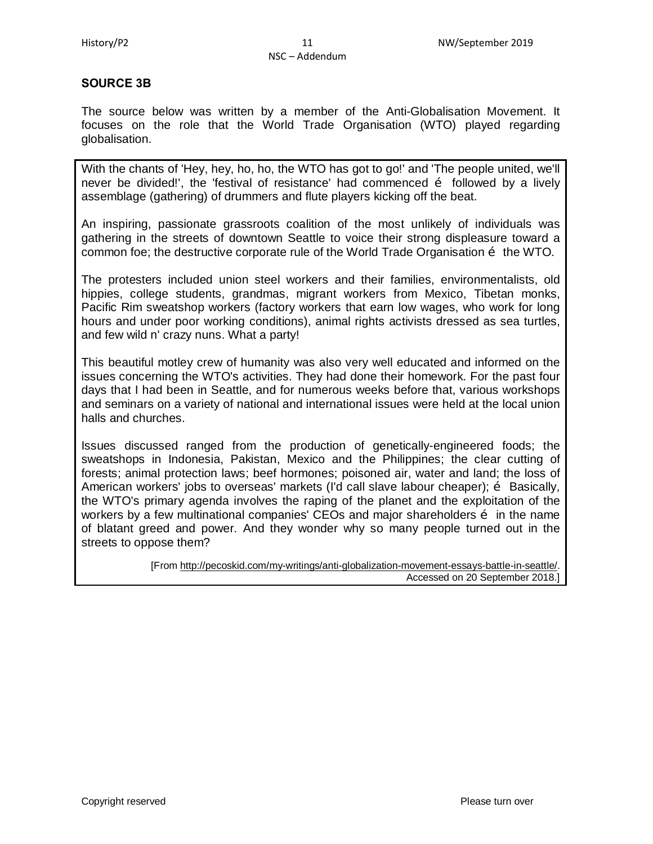#### **SOURCE 3B**

The source below was written by a member of the Anti-Globalisation Movement. It focuses on the role that the World Trade Organisation (WTO) played regarding globalisation.

With the chants of 'Hey, hey, ho, ho, the WTO has got to go!' and 'The people united, we'll never be divided!', the 'festival of resistance' had commenced  $\ddot{\text{o}}$  followed by a lively assemblage (gathering) of drummers and flute players kicking off the beat.

An inspiring, passionate grassroots coalition of the most unlikely of individuals was gathering in the streets of downtown Seattle to voice their strong displeasure toward a common foe; the destructive corporate rule of the World Trade Organisation  $\ddot{\text{o}}$  the WTO.

The protesters included union steel workers and their families, environmentalists, old hippies, college students, grandmas, migrant workers from Mexico, Tibetan monks, Pacific Rim sweatshop workers (factory workers that earn low wages, who work for long hours and under poor working conditions), animal rights activists dressed as sea turtles, and few wild n' crazy nuns. What a party!

This beautiful motley crew of humanity was also very well educated and informed on the issues concerning the WTO's activities. They had done their homework. For the past four days that I had been in Seattle, and for numerous weeks before that, various workshops and seminars on a variety of national and international issues were held at the local union halls and churches.

Issues discussed ranged from the production of genetically-engineered foods; the sweatshops in Indonesia, Pakistan, Mexico and the Philippines; the clear cutting of forests; animal protection laws; beef hormones; poisoned air, water and land; the loss of American workers' jobs to overseas' markets (I'd call slave labour cheaper);  $\ddot{\text{o}}$  Basically, the WTO's primary agenda involves the raping of the planet and the exploitation of the workers by a few multinational companies' CEOs and major shareholders  $\ddot{\rm o}$  in the name of blatant greed and power. And they wonder why so many people turned out in the streets to oppose them?

> [From http://pecoskid.com/my-writings/anti-globalization-movement-essays-battle-in-seattle/. Accessed on 20 September 2018.]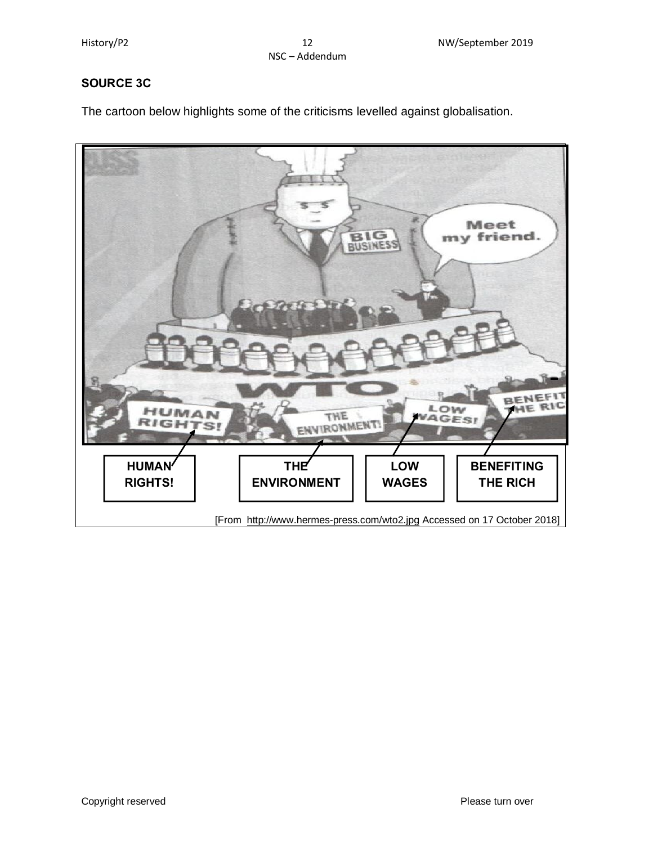NSC – Addendum

# **SOURCE 3C**

The cartoon below highlights some of the criticisms levelled against globalisation.

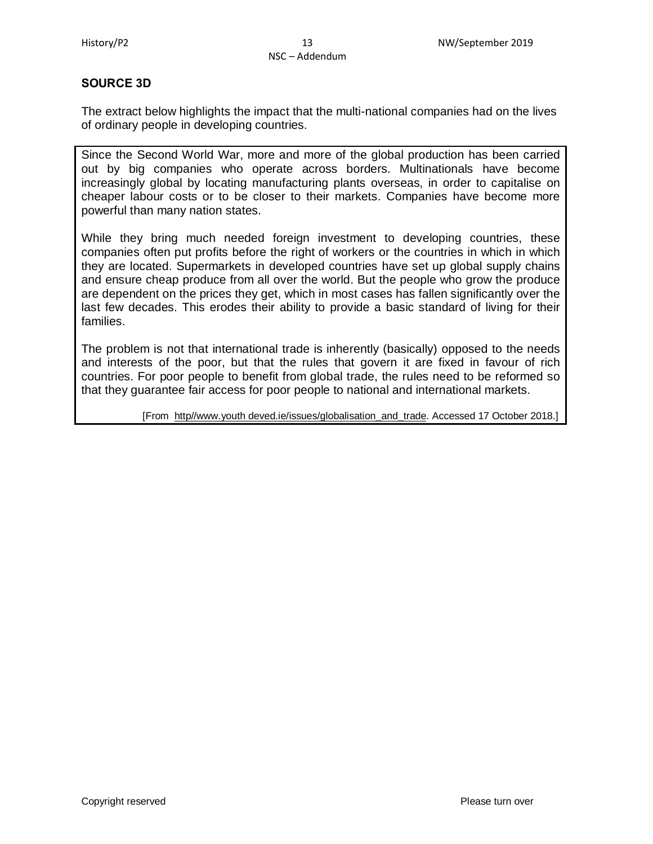### **SOURCE 3D**

The extract below highlights the impact that the multi-national companies had on the lives of ordinary people in developing countries.

Since the Second World War, more and more of the global production has been carried out by big companies who operate across borders. Multinationals have become increasingly global by locating manufacturing plants overseas, in order to capitalise on cheaper labour costs or to be closer to their markets. Companies have become more powerful than many nation states.

While they bring much needed foreign investment to developing countries, these companies often put profits before the right of workers or the countries in which in which they are located. Supermarkets in developed countries have set up global supply chains and ensure cheap produce from all over the world. But the people who grow the produce are dependent on the prices they get, which in most cases has fallen significantly over the last few decades. This erodes their ability to provide a basic standard of living for their families.

The problem is not that international trade is inherently (basically) opposed to the needs and interests of the poor, but that the rules that govern it are fixed in favour of rich countries. For poor people to benefit from global trade, the rules need to be reformed so that they guarantee fair access for poor people to national and international markets.

[From http//www.youth deved.ie/issues/globalisation\_and\_trade. Accessed 17 October 2018.]